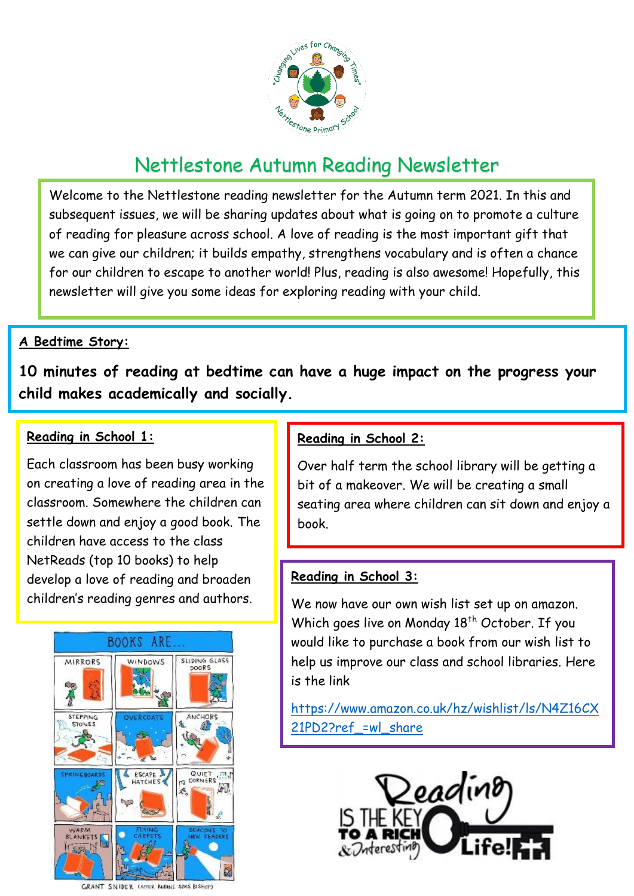

# Nettlestone Autumn Reading Newsletter

Welcome to the Nettlestone reading newsletter for the Autumn term 2021. In this and subsequent issues, we will be sharing updates about what is going on to promote a culture of reading for pleasure across school. A love of reading is the most important gift that we can give our children; it builds empathy, strengthens vocabulary and is often a chance for our children to escape to another world! Plus, reading is also awesome! Hopefully, this newsletter will give you some ideas for exploring reading with your child.

#### **A Bedtime Story:**

**10 minutes of reading at bedtime can have a huge impact on the progress your child makes academically and socially.** 

#### **Reading in School 1:**

Each classroom has been busy working on creating a love of reading area in the classroom. Somewhere the children can settle down and enjoy a good book. The children have access to the class NetReads (top 10 books) to help develop a love of reading and broaden children's reading genres and authors.



GRANT SNIDER CAPTER RUDING SIMS BISHOP)

#### **Reading in School 2:**

Over half term the school library will be getting a bit of a makeover. We will be creating a small seating area where children can sit down and enjoy a book.

#### **Reading in School 3:**

We now have our own wish list set up on amazon. Which goes live on Monday 18<sup>th</sup> October. If you would like to purchase a book from our wish list to help us improve our class and school libraries. Here is the link

[https://www.amazon.co.uk/hz/wishlist/ls/N4Z16CX](https://www.amazon.co.uk/hz/wishlist/ls/N4Z16CX21PD2?ref_=wl_share) 21PD2?ref =wl share

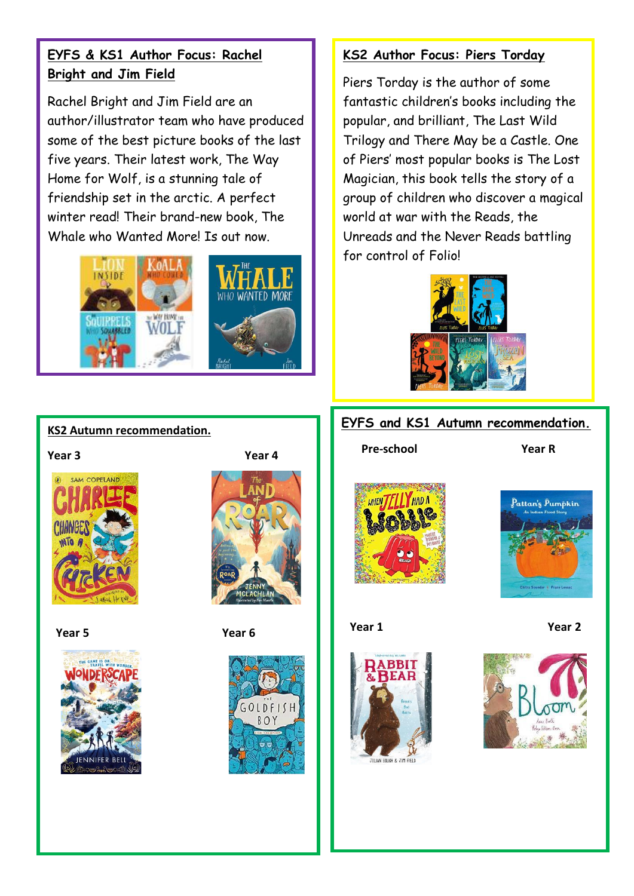## **EYFS & KS1 Author Focus: Rachel Bright and Jim Field**

Rachel Bright and Jim Field are an author/illustrator team who have produced some of the best picture books of the last five years. Their latest work, The Way Home for Wolf, is a stunning tale of friendship set in the arctic. A perfect winter read! Their brand-new book, The Whale who Wanted More! Is out now.



#### **KS2 Author Focus: Piers Torday**

Piers Torday is the author of some fantastic children's books including the popular, and brilliant, The Last Wild Trilogy and There May be a Castle. One of Piers' most popular books is The Lost Magician, this book tells the story of a group of children who discover a magical world at war with the Reads, the Unreads and the Never Reads battling for control of Folio!



#### **EYFS and KS1 Autumn recommendation.**

 **Pre-school Year R**





#### **Year 1 Year 2**





## **KS2 Autumn recommendation.**



 $\overline{a}$ 





 **Year 5 Year 6**